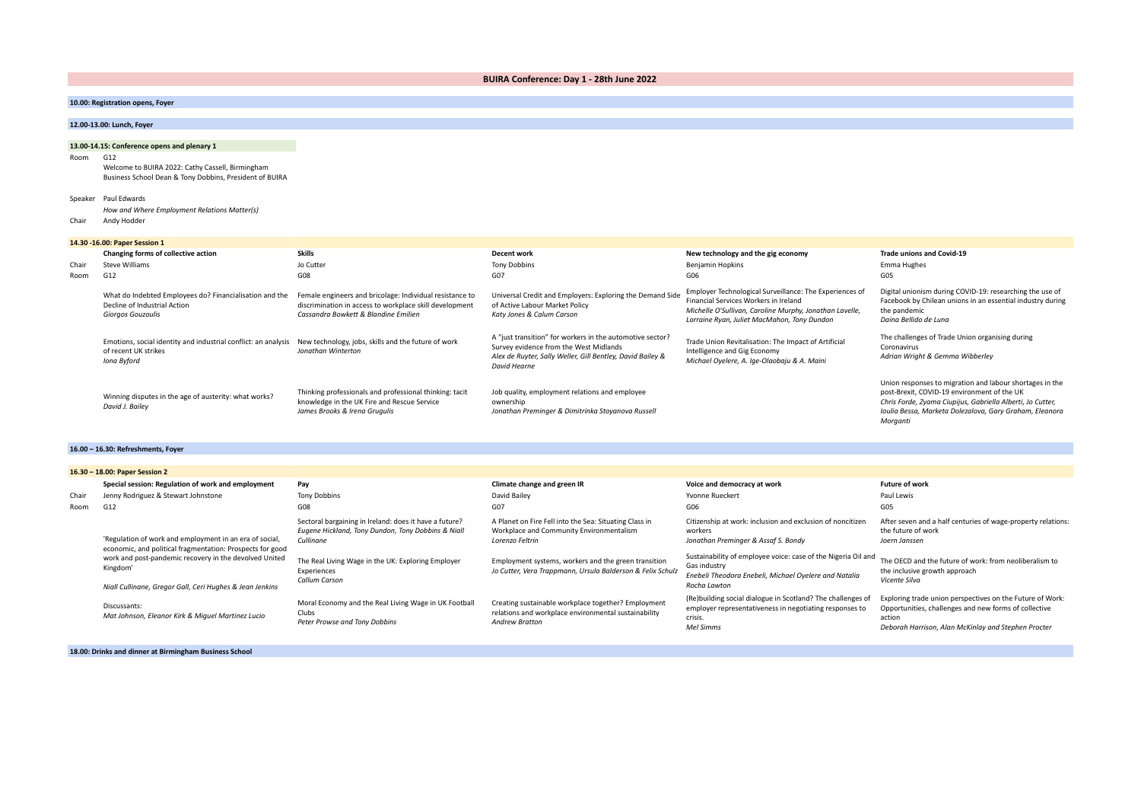**BUIRA Conference: Day 1 - 28th June 2022**

| 10.00: Registration opens, Foyer |  |
|----------------------------------|--|
|----------------------------------|--|

# **12.00-13.00: Lunch, Foyer**

# **13.00-14.15: Conference opens and plenary 1**

Room G12

Welcome to BUIRA 2022: Cathy Cassell, Birmingham Business School Dean & Tony Dobbins, President of BUIRA

#### Speaker Paul Edwards

*How and Where Employment Relations Matter(s)*

Chair Andy Hodder

# **14.30 -16.00: Paper Session 1**

|       | 14.30 -10.00: Paper Session 1                                                                                |                                                                                                                                                             |                                                                                                                                                                                   |                                                                                                                                                                                                            |                                                                                                                                                                                                                                              |
|-------|--------------------------------------------------------------------------------------------------------------|-------------------------------------------------------------------------------------------------------------------------------------------------------------|-----------------------------------------------------------------------------------------------------------------------------------------------------------------------------------|------------------------------------------------------------------------------------------------------------------------------------------------------------------------------------------------------------|----------------------------------------------------------------------------------------------------------------------------------------------------------------------------------------------------------------------------------------------|
|       | Changing forms of collective action                                                                          | <b>Skills</b>                                                                                                                                               | Decent work                                                                                                                                                                       | New technology and the gig economy                                                                                                                                                                         | <b>Trade unions and Covid-19</b>                                                                                                                                                                                                             |
| Chair | Steve Williams                                                                                               | Jo Cutter                                                                                                                                                   | <b>Tony Dobbins</b>                                                                                                                                                               | Benjamin Hopkins                                                                                                                                                                                           | Emma Hughes                                                                                                                                                                                                                                  |
| Room  | G12                                                                                                          | G08                                                                                                                                                         | G07                                                                                                                                                                               | G06                                                                                                                                                                                                        | G05                                                                                                                                                                                                                                          |
|       | What do Indebted Employees do? Financialisation and the<br>Decline of Industrial Action<br>Giorgos Gouzoulis | Female engineers and bricolage: Individual resistance to<br>discrimination in access to workplace skill development<br>Cassandra Bowkett & Blandine Emilien | Universal Credit and Employers: Exploring the Demand Side<br>of Active Labour Market Policy<br>Katy Jones & Calum Carson                                                          | Employer Technological Surveillance: The Experiences of<br>Financial Services Workers in Ireland<br>Michelle O'Sullivan, Caroline Murphy, Jonathan Lavelle,<br>Lorraine Ryan, Juliet MacMahon, Tony Dundon | Digital unionism during COVID-19: researching the use of<br>Facebook by Chilean unions in an essential industry during<br>the pandemic<br>Daina Bellido de Luna                                                                              |
|       | Emotions, social identity and industrial conflict: an analysis<br>of recent UK strikes<br>Iona Byford        | New technology, jobs, skills and the future of work<br>Jonathan Winterton                                                                                   | A "just transition" for workers in the automotive sector?<br>Survey evidence from the West Midlands<br>Alex de Ruyter, Sally Weller, Gill Bentley, David Bailey &<br>David Hearne | Trade Union Revitalisation: The Impact of Artificial<br>Intelligence and Gig Economy<br>Michael Oyelere, A. Ige-Olaobaju & A. Maini                                                                        | The challenges of Trade Union organising during<br>Coronavirus<br>Adrian Wright & Gemma Wibberley                                                                                                                                            |
|       | Winning disputes in the age of austerity: what works?<br>David J. Bailey                                     | Thinking professionals and professional thinking: tacit<br>knowledge in the UK Fire and Rescue Service<br>James Brooks & Irena Grugulis                     | Job quality, employment relations and employee<br>ownership<br>Jonathan Preminger & Dimitrinka Stoyanova Russell                                                                  |                                                                                                                                                                                                            | Union responses to migration and labour shortages in the<br>post-Brexit, COVID-19 environment of the UK<br>Chris Forde, Zyama Ciupijus, Gabriella Alberti, Jo Cutter,<br>Ioulia Bessa, Marketa Dolezalova, Gary Graham, Eleanora<br>Morganti |

#### **16.00 – 16.30: Refreshments, Foyer**

|       | 16.30 - 18.00: Paper Session 2                                                                                                                                                             |                                                                                                                                                                                                                        |                                                                                                                                                                                                                                             |                                                                                                                                                                                                                                                                        |                                                                                                                                                                                                                 |  |
|-------|--------------------------------------------------------------------------------------------------------------------------------------------------------------------------------------------|------------------------------------------------------------------------------------------------------------------------------------------------------------------------------------------------------------------------|---------------------------------------------------------------------------------------------------------------------------------------------------------------------------------------------------------------------------------------------|------------------------------------------------------------------------------------------------------------------------------------------------------------------------------------------------------------------------------------------------------------------------|-----------------------------------------------------------------------------------------------------------------------------------------------------------------------------------------------------------------|--|
|       | Special session: Regulation of work and employment                                                                                                                                         | Pay                                                                                                                                                                                                                    | Climate change and green IR                                                                                                                                                                                                                 | Voice and democracy at work                                                                                                                                                                                                                                            | <b>Future of work</b>                                                                                                                                                                                           |  |
| Chair | Jenny Rodriguez & Stewart Johnstone                                                                                                                                                        | <b>Tony Dobbins</b>                                                                                                                                                                                                    | David Bailey                                                                                                                                                                                                                                | Yvonne Rueckert                                                                                                                                                                                                                                                        | Paul Lewis                                                                                                                                                                                                      |  |
| Room  | G12                                                                                                                                                                                        | G08                                                                                                                                                                                                                    | G07                                                                                                                                                                                                                                         | G06                                                                                                                                                                                                                                                                    | G <sub>05</sub>                                                                                                                                                                                                 |  |
|       | 'Regulation of work and employment in an era of social,<br>economic, and political fragmentation: Prospects for good<br>work and post-pandemic recovery in the devolved United<br>Kingdom' | Sectoral bargaining in Ireland: does it have a future?<br>Eugene Hickland, Tony Dundon, Tony Dobbins & Niall<br>Cullinane<br>The Real Living Wage in the UK: Exploring Employer<br>Experiences<br><b>Callum Carson</b> | A Planet on Fire Fell into the Sea: Situating Class in<br>Workplace and Community Environmentalism<br>Lorenzo Feltrin<br>Employment systems, workers and the green transition<br>Jo Cutter, Vera Trappmann, Ursula Balderson & Felix Schulz | Citizenship at work: inclusion and exclusion of noncitizen<br>workers<br>Jonathan Preminger & Assaf S. Bondy<br>Sustainability of employee voice: case of the Nigeria Oil and<br>Gas industry<br>Enebeli Theodora Enebeli, Michael Ovelere and Natalia<br>Rocha Lawton | After seven and a half centuries of wage-property relations:<br>the future of work<br>Joern Janssen<br>The OECD and the future of work: from neoliberalism to<br>the inclusive growth approach<br>Vicente Silva |  |
|       | Niall Cullinane, Gregor Gall, Ceri Hughes & Jean Jenkins                                                                                                                                   |                                                                                                                                                                                                                        |                                                                                                                                                                                                                                             |                                                                                                                                                                                                                                                                        |                                                                                                                                                                                                                 |  |
|       | Discussants:<br>Mat Johnson, Eleanor Kirk & Miguel Martinez Lucio                                                                                                                          | Moral Economy and the Real Living Wage in UK Football<br>Clubs<br>Peter Prowse and Tony Dobbins                                                                                                                        | Creating sustainable workplace together? Employment<br>relations and workplace environmental sustainability<br><b>Andrew Bratton</b>                                                                                                        | (Re) building social dialogue in Scotland? The challenges of<br>employer representativeness in negotiating responses to<br>crisis.<br>Mel Simms                                                                                                                        | Exploring trade union perspectives on the Future of Work:<br>Opportunities, challenges and new forms of collective<br>action<br>Deborah Harrison, Alan McKinlay and Stephen Procter                             |  |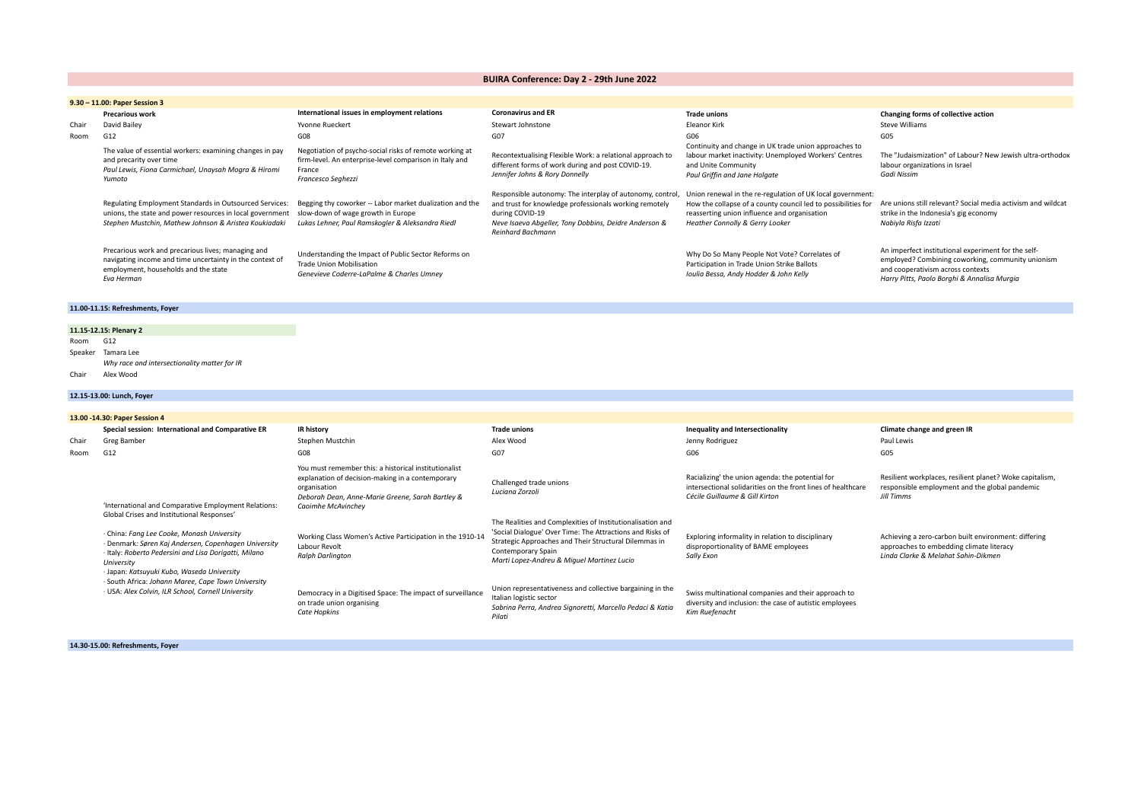# **BUIRA Conference: Day 2 - 29th June 2022**

|       | 9.30 - 11.00: Paper Session 3                                                                                                                                                 |                                                                                                                                                    |                                                                                                                                                                                                                             |                                                                                                                                                                                                                |                                                                                                                                                                                              |  |
|-------|-------------------------------------------------------------------------------------------------------------------------------------------------------------------------------|----------------------------------------------------------------------------------------------------------------------------------------------------|-----------------------------------------------------------------------------------------------------------------------------------------------------------------------------------------------------------------------------|----------------------------------------------------------------------------------------------------------------------------------------------------------------------------------------------------------------|----------------------------------------------------------------------------------------------------------------------------------------------------------------------------------------------|--|
|       | <b>Precarious work</b>                                                                                                                                                        | International issues in employment relations                                                                                                       | <b>Coronavirus and ER</b>                                                                                                                                                                                                   | <b>Trade unions</b>                                                                                                                                                                                            | Changing forms of collective action                                                                                                                                                          |  |
| Chair | David Bailey                                                                                                                                                                  | Yvonne Rueckert                                                                                                                                    | Stewart Johnstone                                                                                                                                                                                                           | Eleanor Kirk                                                                                                                                                                                                   | <b>Steve Williams</b>                                                                                                                                                                        |  |
| Room  | G12                                                                                                                                                                           | G08                                                                                                                                                | G07                                                                                                                                                                                                                         | G06                                                                                                                                                                                                            | G05                                                                                                                                                                                          |  |
|       | The value of essential workers: examining changes in pay<br>and precarity over time<br>Paul Lewis, Fiona Carmichael, Unaysah Mogra & Hiromi<br>Yumoto                         | Negotiation of psycho-social risks of remote working at<br>firm-level. An enterprise-level comparison in Italy and<br>France<br>Francesco Seghezzi | Recontextualising Flexible Work: a relational approach to<br>different forms of work during and post COVID-19.<br>Jennifer Johns & Rory Donnelly                                                                            | Continuity and change in UK trade union approaches to<br>labour market inactivity: Unemployed Workers' Centres<br>and Unite Community<br>Paul Griffin and Jane Holgate                                         | The "Judaismization" of Labour? New Jewish ultra-orthodox<br>labour organizations in Israel<br>Gadi Nissim                                                                                   |  |
|       | Regulating Employment Standards in Outsourced Services:<br>unions, the state and power resources in local government<br>Stephen Mustchin, Mathew Johnson & Aristea Koukiadaki | Begging thy coworker -- Labor market dualization and the<br>slow-down of wage growth in Europe<br>Lukas Lehner, Paul Ramskogler & Aleksandra Riedl | Responsible autonomy: The interplay of autonomy, control,<br>and trust for knowledge professionals working remotely<br>during COVID-19<br>Neve Isaeva Abgeller, Tony Dobbins, Deidre Anderson &<br><b>Reinhard Bachmann</b> | Union renewal in the re-regulation of UK local government:<br>How the collapse of a county council led to possibilities for<br>reasserting union influence and organisation<br>Heather Connolly & Gerry Looker | Are unions still relevant? Social media activism and wildcat<br>strike in the Indonesia's gig economy<br>Nabiyla Risfa Izzati                                                                |  |
|       | Precarious work and precarious lives; managing and<br>navigating income and time uncertainty in the context of<br>employment, households and the state<br>Eva Herman          | Understanding the Impact of Public Sector Reforms on<br>Trade Union Mobilisation<br>Genevieve Coderre-LaPalme & Charles Umnev                      |                                                                                                                                                                                                                             | Why Do So Many People Not Vote? Correlates of<br>Participation in Trade Union Strike Ballots<br>Ioulia Bessa, Andy Hodder & John Kelly                                                                         | An imperfect institutional experiment for the self-<br>employed? Combining coworking, community unionism<br>and cooperativism across contexts<br>Harry Pitts, Paolo Borghi & Annalisa Murgia |  |

# **11.00-11.15: Refreshments, Foyer**

#### **11.15-12.15: Plenary 2** Room G12 Speaker Tamara Lee

*Why race and intersectionality matter for IR*

Chair Alex Wood

# **12.15-13.00: Lunch, Foyer**

|       | 13.00 -14.30: Paper Session 4                                                                                                                                                                                           |                                                                                                                                                                                                     |                                                                                                                                                                                                                                                      |                                                                                                                                                    |                                                                                                                                         |
|-------|-------------------------------------------------------------------------------------------------------------------------------------------------------------------------------------------------------------------------|-----------------------------------------------------------------------------------------------------------------------------------------------------------------------------------------------------|------------------------------------------------------------------------------------------------------------------------------------------------------------------------------------------------------------------------------------------------------|----------------------------------------------------------------------------------------------------------------------------------------------------|-----------------------------------------------------------------------------------------------------------------------------------------|
|       | Special session: International and Comparative ER                                                                                                                                                                       | <b>IR history</b>                                                                                                                                                                                   | <b>Trade unions</b>                                                                                                                                                                                                                                  | Inequality and Intersectionality                                                                                                                   | Climate change and green IR                                                                                                             |
| Chair | Greg Bamber                                                                                                                                                                                                             | Stephen Mustchin                                                                                                                                                                                    | Alex Wood                                                                                                                                                                                                                                            | Jenny Rodriguez                                                                                                                                    | Paul Lewis                                                                                                                              |
| Room  | G12                                                                                                                                                                                                                     | G08                                                                                                                                                                                                 | G07                                                                                                                                                                                                                                                  | G06                                                                                                                                                | G05                                                                                                                                     |
|       | 'International and Comparative Employment Relations:<br>Global Crises and Institutional Responses'                                                                                                                      | You must remember this: a historical institutionalist<br>explanation of decision-making in a contemporary<br>organisation<br>Deborah Dean, Anne-Marie Greene, Sarah Bartley &<br>Caoimhe McAvinchey | Challenged trade unions<br>Luciana Zorzoli                                                                                                                                                                                                           | Racializing' the union agenda: the potential for<br>intersectional solidarities on the front lines of healthcare<br>Cécile Guillaume & Gill Kirton | Resilient workplaces, resilient planet? Woke capitalism,<br>responsible employment and the global pandemic<br>Jill Timms                |
|       | · China: Fang Lee Cooke, Monash University<br>· Denmark: Søren Kaj Andersen, Copenhagen University<br>· Italy: Roberto Pedersini and Lisa Dorigatti, Milano<br>University<br>· Japan: Katsuyuki Kubo, Waseda University | Working Class Women's Active Participation in the 1910-14<br>Labour Revolt<br><b>Ralph Darlington</b>                                                                                               | The Realities and Complexities of Institutionalisation and<br>'Social Dialogue' Over Time: The Attractions and Risks of<br>Strategic Approaches and Their Structural Dilemmas in<br>Contemporary Spain<br>Marti Lopez-Andreu & Miquel Martinez Lucio | Exploring informality in relation to disciplinary<br>disproportionality of BAME employees<br>Sally Exon                                            | Achieving a zero-carbon built environment: differing<br>approaches to embedding climate literacy<br>Linda Clarke & Melahat Sahin-Dikmen |
|       | · South Africa: Johann Maree, Cape Town University<br>· USA: Alex Colvin, ILR School, Cornell University                                                                                                                | Democracy in a Digitised Space: The impact of surveillance<br>on trade union organising<br><b>Cate Hopkins</b>                                                                                      | Union representativeness and collective bargaining in the<br>Italian logistic sector<br>Sabrina Perra, Andrea Signoretti, Marcello Pedaci & Katia<br>Pilati                                                                                          | Swiss multinational companies and their approach to<br>diversity and inclusion: the case of autistic employees<br>Kim Ruefenacht                   |                                                                                                                                         |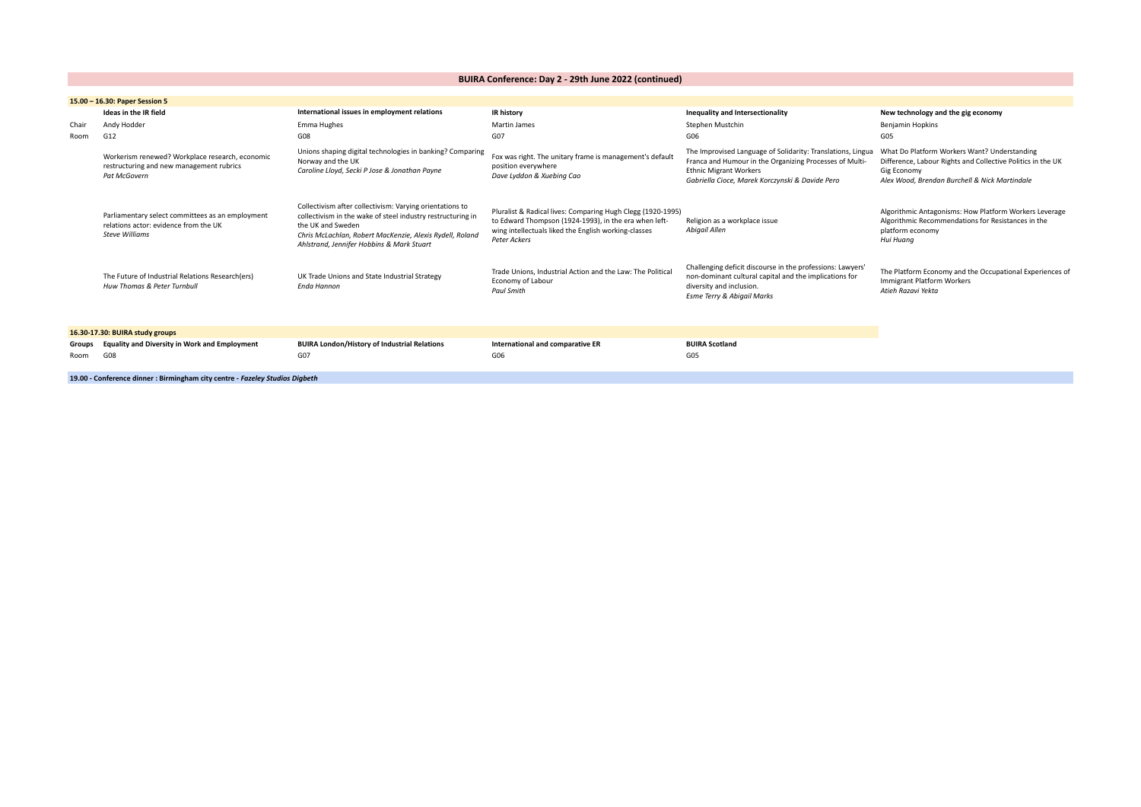**BUIRA Conference: Day 2 - 29th June 2022 (continued)**

|        | 15.00 - 16.30: Paper Session 5                                                                                     |                                                                                                                                                                                                                                                       |                                                                                                                                                                                                     |                                                                                                                                                                                                            |                                                                                                                                                                             |  |
|--------|--------------------------------------------------------------------------------------------------------------------|-------------------------------------------------------------------------------------------------------------------------------------------------------------------------------------------------------------------------------------------------------|-----------------------------------------------------------------------------------------------------------------------------------------------------------------------------------------------------|------------------------------------------------------------------------------------------------------------------------------------------------------------------------------------------------------------|-----------------------------------------------------------------------------------------------------------------------------------------------------------------------------|--|
|        | Ideas in the IR field                                                                                              | International issues in employment relations                                                                                                                                                                                                          | <b>IR history</b>                                                                                                                                                                                   | Inequality and Intersectionality                                                                                                                                                                           | New technology and the gig economy                                                                                                                                          |  |
| Chair  | Andy Hodder                                                                                                        | Emma Hughes                                                                                                                                                                                                                                           | Martin James                                                                                                                                                                                        | Stephen Mustchin                                                                                                                                                                                           | <b>Benjamin Hopkins</b>                                                                                                                                                     |  |
| Room   | G12                                                                                                                | G08                                                                                                                                                                                                                                                   | G07                                                                                                                                                                                                 | G06                                                                                                                                                                                                        | G05                                                                                                                                                                         |  |
|        | Workerism renewed? Workplace research, economic<br>restructuring and new management rubrics<br>Pat McGovern        | Unions shaping digital technologies in banking? Comparing<br>Norway and the UK<br>Caroline Lloyd, Secki P Jose & Jonathan Payne                                                                                                                       | Fox was right. The unitary frame is management's default<br>position everywhere<br>Dave Lyddon & Xuebing Cao                                                                                        | The Improvised Language of Solidarity: Translations, Lingua<br>Franca and Humour in the Organizing Processes of Multi-<br><b>Ethnic Migrant Workers</b><br>Gabriella Cioce, Marek Korczynski & Davide Pero | What Do Platform Workers Want? Understanding<br>Difference, Labour Rights and Collective Politics in the UK<br>Gig Economy<br>Alex Wood, Brendan Burchell & Nick Martindale |  |
|        | Parliamentary select committees as an employment<br>relations actor: evidence from the UK<br><b>Steve Williams</b> | Collectivism after collectivism: Varying orientations to<br>collectivism in the wake of steel industry restructuring in<br>the UK and Sweden<br>Chris McLachlan, Robert MacKenzie, Alexis Rydell, Roland<br>Ahlstrand, Jennifer Hobbins & Mark Stuart | Pluralist & Radical lives: Comparing Hugh Clegg (1920-1995)<br>to Edward Thompson (1924-1993), in the era when left-<br>wing intellectuals liked the English working-classes<br><b>Peter Ackers</b> | Religion as a workplace issue<br>Abigail Allen                                                                                                                                                             | Algorithmic Antagonisms: How Platform Workers Leverage<br>Algorithmic Recommendations for Resistances in the<br>platform economy<br>Hui Huang                               |  |
|        | The Future of Industrial Relations Research(ers)<br>Huw Thomas & Peter Turnbull                                    | UK Trade Unions and State Industrial Strategy<br>Enda Hannon                                                                                                                                                                                          | Trade Unions, Industrial Action and the Law: The Political<br>Economy of Labour<br><b>Paul Smith</b>                                                                                                | Challenging deficit discourse in the professions: Lawyers'<br>non-dominant cultural capital and the implications for<br>diversity and inclusion.<br><b>Esme Terry &amp; Abigail Marks</b>                  | The Platform Economy and the Occupational Experiences of<br><b>Immigrant Platform Workers</b><br>Atieh Razavi Yekta                                                         |  |
|        | 16.30-17.30: BUIRA study groups                                                                                    |                                                                                                                                                                                                                                                       |                                                                                                                                                                                                     |                                                                                                                                                                                                            |                                                                                                                                                                             |  |
| Groups | <b>Equality and Diversity in Work and Employment</b>                                                               | <b>BUIRA London/History of Industrial Relations</b>                                                                                                                                                                                                   | International and comparative ER                                                                                                                                                                    | <b>BUIRA Scotland</b>                                                                                                                                                                                      |                                                                                                                                                                             |  |
| Room   | G08                                                                                                                | G07                                                                                                                                                                                                                                                   | G06                                                                                                                                                                                                 | G <sub>05</sub>                                                                                                                                                                                            |                                                                                                                                                                             |  |
|        | 19.00 - Conference dinner : Birmingham city centre - Fazeley Studios Digbeth                                       |                                                                                                                                                                                                                                                       |                                                                                                                                                                                                     |                                                                                                                                                                                                            |                                                                                                                                                                             |  |